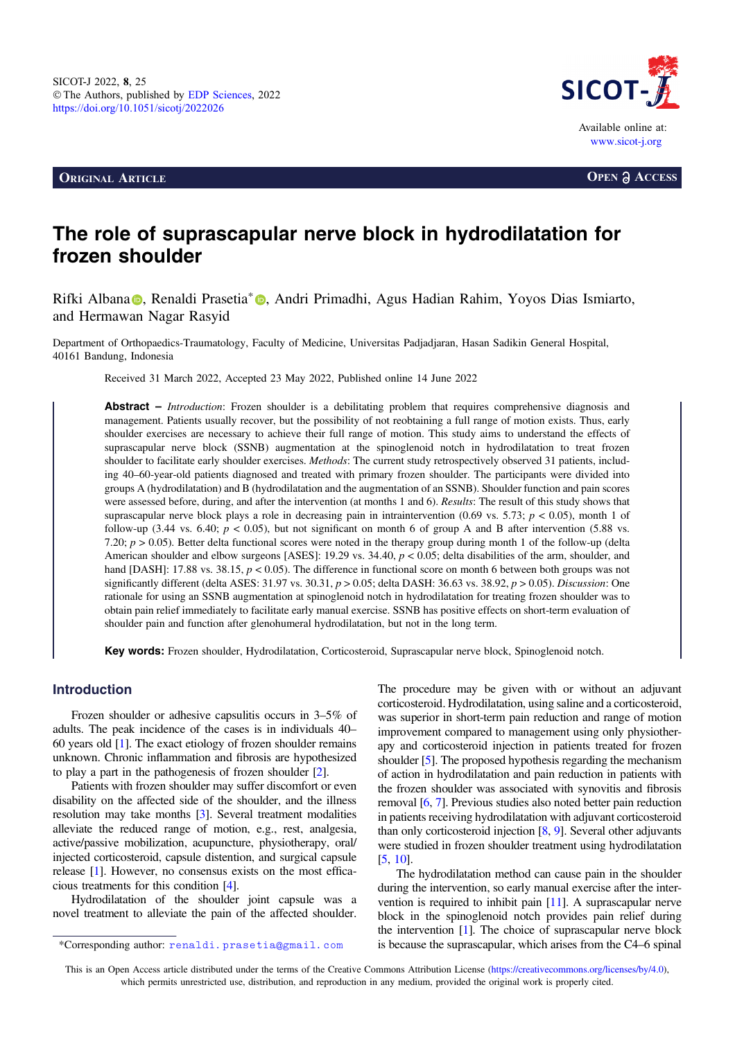**ORIGINAL ARTICLE OPEN a** ACCESS



# The role of suprascapular nerve block in hydrodilatation for frozen shoulder

Rifki Alb[a](https://orcid.org/0000-0002-4783-2651)na **(b.** Renaldi Prasetia<sup>\*</sup> **(b.** Andri Primadhi[,](https://orcid.org/0000-0002-4783-2651) Agus Hadian Rahim, Yoyos Dias Ismiarto, and Hermawan Nagar Rasyid

Department of Orthopaedics-Traumatology, Faculty of Medicine, Universitas Padjadjaran, Hasan Sadikin General Hospital, 40161 Bandung, Indonesia

Received 31 March 2022, Accepted 23 May 2022, Published online 14 June 2022

Abstract – *Introduction*: Frozen shoulder is a debilitating problem that requires comprehensive diagnosis and management. Patients usually recover, but the possibility of not reobtaining a full range of motion exists. Thus, early shoulder exercises are necessary to achieve their full range of motion. This study aims to understand the effects of suprascapular nerve block (SSNB) augmentation at the spinoglenoid notch in hydrodilatation to treat frozen shoulder to facilitate early shoulder exercises. Methods: The current study retrospectively observed 31 patients, including 40–60-year-old patients diagnosed and treated with primary frozen shoulder. The participants were divided into groups A (hydrodilatation) and B (hydrodilatation and the augmentation of an SSNB). Shoulder function and pain scores were assessed before, during, and after the intervention (at months 1 and 6). Results: The result of this study shows that suprascapular nerve block plays a role in decreasing pain in intraintervention (0.69 vs. 5.73;  $p < 0.05$ ), month 1 of follow-up (3.44 vs. 6.40;  $p < 0.05$ ), but not significant on month 6 of group A and B after intervention (5.88 vs. 7.20;  $p > 0.05$ ). Better delta functional scores were noted in the therapy group during month 1 of the follow-up (delta American shoulder and elbow surgeons [ASES]: 19.29 vs. 34.40,  $p < 0.05$ ; delta disabilities of the arm, shoulder, and hand [DASH]: 17.88 vs. 38.15,  $p < 0.05$ ). The difference in functional score on month 6 between both groups was not significantly different (delta ASES: 31.97 vs. 30.31,  $p > 0.05$ ; delta DASH: 36.63 vs. 38.92,  $p > 0.05$ ). Discussion: One rationale for using an SSNB augmentation at spinoglenoid notch in hydrodilatation for treating frozen shoulder was to obtain pain relief immediately to facilitate early manual exercise. SSNB has positive effects on short-term evaluation of shoulder pain and function after glenohumeral hydrodilatation, but not in the long term.

Key words: Frozen shoulder, Hydrodilatation, Corticosteroid, Suprascapular nerve block, Spinoglenoid notch.

# Introduction

Frozen shoulder or adhesive capsulitis occurs in 3–5% of adults. The peak incidence of the cases is in individuals 40– 60 years old [\[1\]](#page-4-0). The exact etiology of frozen shoulder remains unknown. Chronic inflammation and fibrosis are hypothesized to play a part in the pathogenesis of frozen shoulder [\[2](#page-4-0)].

Patients with frozen shoulder may suffer discomfort or even disability on the affected side of the shoulder, and the illness resolution may take months [\[3\]](#page-4-0). Several treatment modalities alleviate the reduced range of motion, e.g., rest, analgesia, active/passive mobilization, acupuncture, physiotherapy, oral/ injected corticosteroid, capsule distention, and surgical capsule release [[1](#page-4-0)]. However, no consensus exists on the most efficacious treatments for this condition [[4\]](#page-4-0).

Hydrodilatation of the shoulder joint capsule was a novel treatment to alleviate the pain of the affected shoulder. The procedure may be given with or without an adjuvant corticosteroid. Hydrodilatation, using saline and a corticosteroid, was superior in short-term pain reduction and range of motion improvement compared to management using only physiotherapy and corticosteroid injection in patients treated for frozen shoulder [\[5\]](#page-4-0). The proposed hypothesis regarding the mechanism of action in hydrodilatation and pain reduction in patients with the frozen shoulder was associated with synovitis and fibrosis removal [[6,](#page-4-0) [7](#page-4-0)]. Previous studies also noted better pain reduction in patients receiving hydrodilatation with adjuvant corticosteroid than only corticosteroid injection [\[8](#page-4-0), [9\]](#page-5-0). Several other adjuvants were studied in frozen shoulder treatment using hydrodilatation [[5,](#page-4-0) [10\]](#page-5-0).

The hydrodilatation method can cause pain in the shoulder during the intervention, so early manual exercise after the intervention is required to inhibit pain [[11](#page-5-0)]. A suprascapular nerve block in the spinoglenoid notch provides pain relief during the intervention [\[1](#page-4-0)]. The choice of suprascapular nerve block \*Corresponding author: renaldi.prasetia@gmail.com is because the suprascapular, which arises from the C4–6 spinal

This is an Open Access article distributed under the terms of the Creative Commons Attribution License [\(https://creativecommons.org/licenses/by/4.0](https://creativecommons.org/licenses/by/4.0/)), which permits unrestricted use, distribution, and reproduction in any medium, provided the original work is properly cited.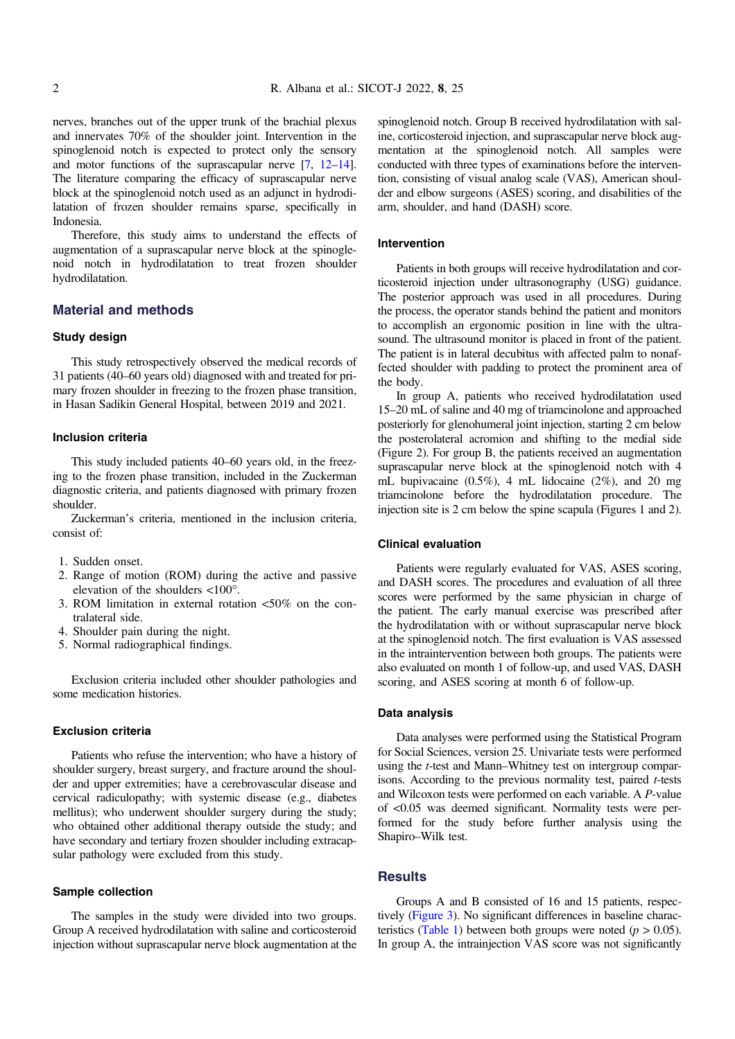nerves, branches out of the upper trunk of the brachial plexus and innervates 70% of the shoulder joint. Intervention in the spinoglenoid notch is expected to protect only the sensory and motor functions of the suprascapular nerve [[7,](#page-4-0) [12](#page-5-0)–[14](#page-5-0)]. The literature comparing the efficacy of suprascapular nerve block at the spinoglenoid notch used as an adjunct in hydrodilatation of frozen shoulder remains sparse, specifically in Indonesia.

Therefore, this study aims to understand the effects of augmentation of a suprascapular nerve block at the spinoglenoid notch in hydrodilatation to treat frozen shoulder hydrodilatation.

## Material and methods

#### Study design

This study retrospectively observed the medical records of 31 patients (40–60 years old) diagnosed with and treated for primary frozen shoulder in freezing to the frozen phase transition, in Hasan Sadikin General Hospital, between 2019 and 2021.

#### Inclusion criteria

This study included patients 40–60 years old, in the freezing to the frozen phase transition, included in the Zuckerman diagnostic criteria, and patients diagnosed with primary frozen shoulder.

Zuckerman's criteria, mentioned in the inclusion criteria, consist of:

- 1. Sudden onset.
- 2. Range of motion (ROM) during the active and passive elevation of the shoulders  $\langle 100^\circ \rangle$ .
- 3. ROM limitation in external rotation <50% on the contralateral side.
- 4. Shoulder pain during the night.
- 5. Normal radiographical findings.

Exclusion criteria included other shoulder pathologies and some medication histories.

#### Exclusion criteria

Patients who refuse the intervention; who have a history of shoulder surgery, breast surgery, and fracture around the shoulder and upper extremities; have a cerebrovascular disease and cervical radiculopathy; with systemic disease (e.g., diabetes mellitus); who underwent shoulder surgery during the study; who obtained other additional therapy outside the study; and have secondary and tertiary frozen shoulder including extracapsular pathology were excluded from this study.

## Sample collection

The samples in the study were divided into two groups. Group A received hydrodilatation with saline and corticosteroid injection without suprascapular nerve block augmentation at the

spinoglenoid notch. Group B received hydrodilatation with saline, corticosteroid injection, and suprascapular nerve block augmentation at the spinoglenoid notch. All samples were conducted with three types of examinations before the intervention, consisting of visual analog scale (VAS), American shoulder and elbow surgeons (ASES) scoring, and disabilities of the arm, shoulder, and hand (DASH) score.

#### Intervention

Patients in both groups will receive hydrodilatation and corticosteroid injection under ultrasonography (USG) guidance. The posterior approach was used in all procedures. During the process, the operator stands behind the patient and monitors to accomplish an ergonomic position in line with the ultrasound. The ultrasound monitor is placed in front of the patient. The patient is in lateral decubitus with affected palm to nonaffected shoulder with padding to protect the prominent area of the body.

In group A, patients who received hydrodilatation used 15–20 mL of saline and 40 mg of triamcinolone and approached posteriorly for glenohumeral joint injection, starting 2 cm below the posterolateral acromion and shifting to the medial side (Figure 2). For group B, the patients received an augmentation suprascapular nerve block at the spinoglenoid notch with 4 mL bupivacaine (0.5%), 4 mL lidocaine (2%), and 20 mg triamcinolone before the hydrodilatation procedure. The injection site is 2 cm below the spine scapula (Figures 1 and 2).

#### Clinical evaluation

Patients were regularly evaluated for VAS, ASES scoring, and DASH scores. The procedures and evaluation of all three scores were performed by the same physician in charge of the patient. The early manual exercise was prescribed after the hydrodilatation with or without suprascapular nerve block at the spinoglenoid notch. The first evaluation is VAS assessed in the intraintervention between both groups. The patients were also evaluated on month 1 of follow-up, and used VAS, DASH scoring, and ASES scoring at month 6 of follow-up.

#### Data analysis

Data analyses were performed using the Statistical Program for Social Sciences, version 25. Univariate tests were performed using the t-test and Mann–Whitney test on intergroup comparisons. According to the previous normality test, paired t-tests and Wilcoxon tests were performed on each variable. A P-value of <0.05 was deemed significant. Normality tests were performed for the study before further analysis using the Shapiro–Wilk test.

#### **Results**

Groups A and B consisted of 16 and 15 patients, respectively ([Figure 3](#page-3-0)). No significant differences in baseline charac-teristics [\(Table 1](#page-3-0)) between both groups were noted ( $p > 0.05$ ). In group A, the intrainjection VAS score was not significantly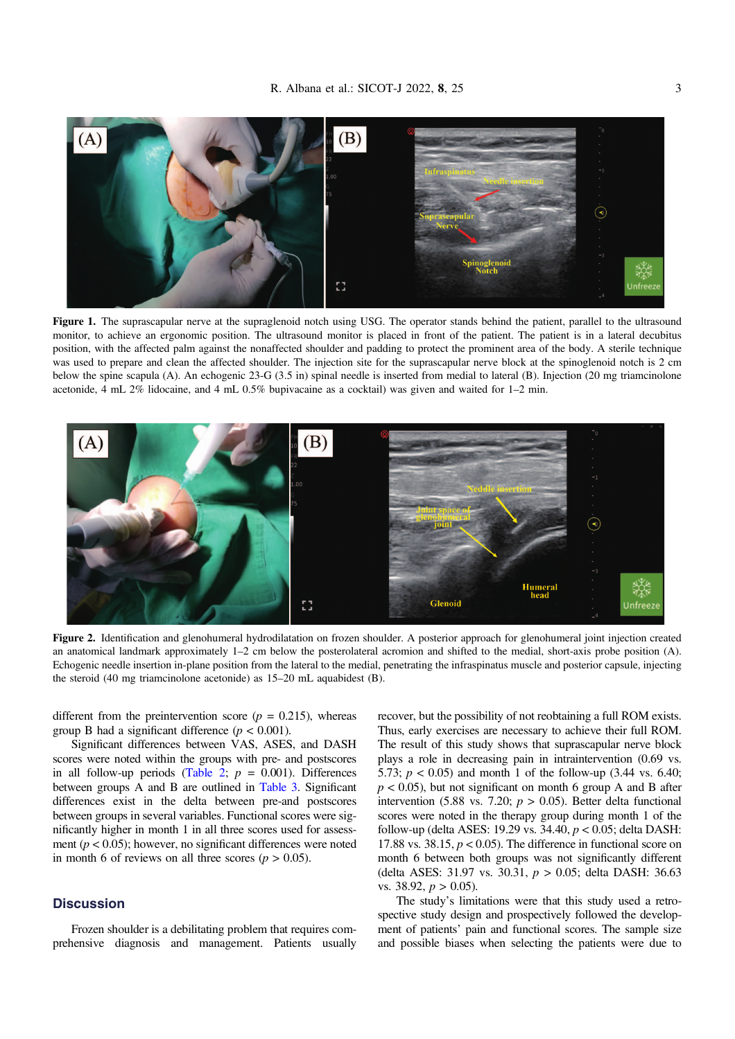

Figure 1. The suprascapular nerve at the supraglenoid notch using USG. The operator stands behind the patient, parallel to the ultrasound monitor, to achieve an ergonomic position. The ultrasound monitor is placed in front of the patient. The patient is in a lateral decubitus position, with the affected palm against the nonaffected shoulder and padding to protect the prominent area of the body. A sterile technique was used to prepare and clean the affected shoulder. The injection site for the suprascapular nerve block at the spinoglenoid notch is 2 cm below the spine scapula (A). An echogenic 23-G (3.5 in) spinal needle is inserted from medial to lateral (B). Injection (20 mg triamcinolone acetonide, 4 mL 2% lidocaine, and 4 mL 0.5% bupivacaine as a cocktail) was given and waited for 1–2 min.



Figure 2. Identification and glenohumeral hydrodilatation on frozen shoulder. A posterior approach for glenohumeral joint injection created an anatomical landmark approximately 1–2 cm below the posterolateral acromion and shifted to the medial, short-axis probe position (A). Echogenic needle insertion in-plane position from the lateral to the medial, penetrating the infraspinatus muscle and posterior capsule, injecting the steroid (40 mg triamcinolone acetonide) as 15–20 mL aquabidest (B).

different from the preintervention score ( $p = 0.215$ ), whereas group B had a significant difference ( $p < 0.001$ ).

Significant differences between VAS, ASES, and DASH scores were noted within the groups with pre- and postscores in all follow-up periods ([Table 2;](#page-3-0)  $p = 0.001$ ). Differences between groups A and B are outlined in [Table 3.](#page-3-0) Significant differences exist in the delta between pre-and postscores between groups in several variables. Functional scores were significantly higher in month 1 in all three scores used for assessment ( $p < 0.05$ ); however, no significant differences were noted in month 6 of reviews on all three scores ( $p > 0.05$ ).

# **Discussion**

Frozen shoulder is a debilitating problem that requires comprehensive diagnosis and management. Patients usually recover, but the possibility of not reobtaining a full ROM exists. Thus, early exercises are necessary to achieve their full ROM. The result of this study shows that suprascapular nerve block plays a role in decreasing pain in intraintervention (0.69 vs. 5.73;  $p < 0.05$ ) and month 1 of the follow-up (3.44 vs. 6.40;  $p < 0.05$ ), but not significant on month 6 group A and B after intervention (5.88 vs. 7.20;  $p > 0.05$ ). Better delta functional scores were noted in the therapy group during month 1 of the follow-up (delta ASES: 19.29 vs. 34.40,  $p < 0.05$ ; delta DASH: 17.88 vs. 38.15,  $p < 0.05$ ). The difference in functional score on month 6 between both groups was not significantly different (delta ASES: 31.97 vs. 30.31, p > 0.05; delta DASH: 36.63 vs. 38.92,  $p > 0.05$ ).

The study's limitations were that this study used a retrospective study design and prospectively followed the development of patients' pain and functional scores. The sample size and possible biases when selecting the patients were due to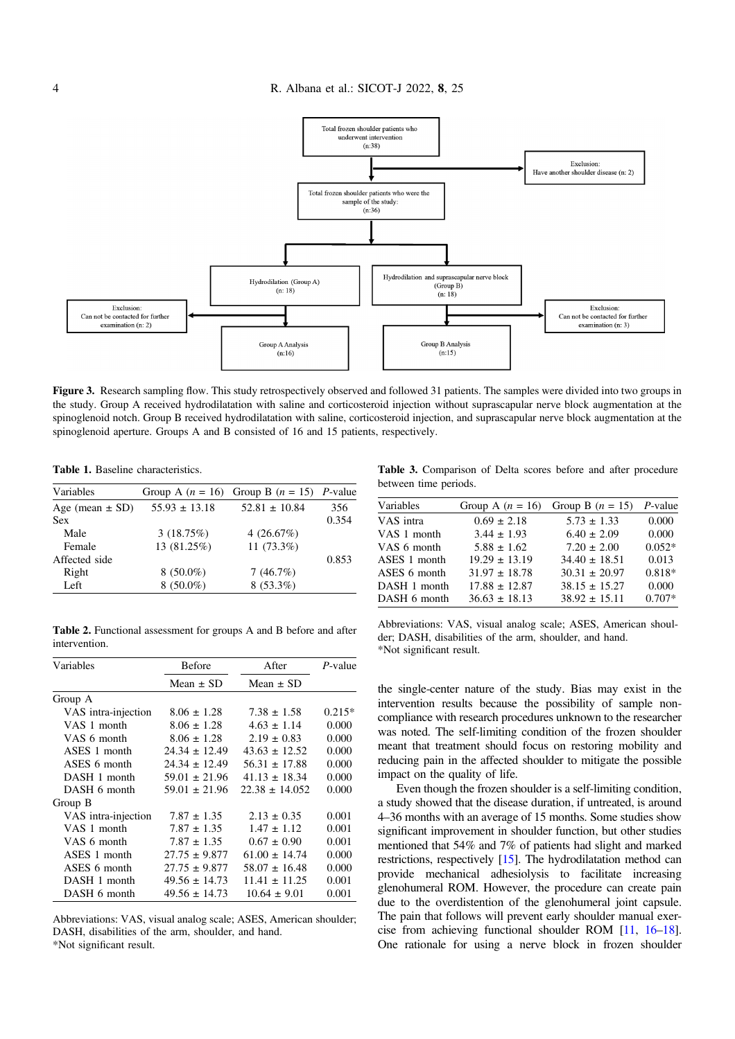<span id="page-3-0"></span>

Figure 3. Research sampling flow. This study retrospectively observed and followed 31 patients. The samples were divided into two groups in the study. Group A received hydrodilatation with saline and corticosteroid injection without suprascapular nerve block augmentation at the spinoglenoid notch. Group B received hydrodilatation with saline, corticosteroid injection, and suprascapular nerve block augmentation at the spinoglenoid aperture. Groups A and B consisted of 16 and 15 patients, respectively.

Table 1. Baseline characteristics.

| Variables           |                   | Group A $(n = 16)$ Group B $(n = 15)$ P-value |       |
|---------------------|-------------------|-----------------------------------------------|-------|
| Age (mean $\pm$ SD) | $55.93 \pm 13.18$ | $52.81 \pm 10.84$                             | 356   |
| <b>Sex</b>          |                   |                                               | 0.354 |
| Male                | 3(18.75%)         | 4 $(26.67%)$                                  |       |
| Female              | 13 (81.25%)       | 11 $(73.3\%)$                                 |       |
| Affected side       |                   |                                               | 0.853 |
| Right               | $8(50.0\%)$       | 7(46.7%)                                      |       |
| Left                | $8(50.0\%)$       | $8(53.3\%)$                                   |       |

Table 2. Functional assessment for groups A and B before and after intervention.

| Variables           | <b>Before</b>     | After              | P-value  |
|---------------------|-------------------|--------------------|----------|
|                     | Mean $\pm$ SD     | Mean $\pm$ SD      |          |
| Group A             |                   |                    |          |
| VAS intra-injection | $8.06 \pm 1.28$   | $7.38 \pm 1.58$    | $0.215*$ |
| VAS 1 month         | $8.06 \pm 1.28$   | $4.63 \pm 1.14$    | 0.000    |
| VAS 6 month         | $8.06 \pm 1.28$   | $2.19 \pm 0.83$    | 0.000    |
| ASES 1 month        | $24.34 \pm 12.49$ | $43.63 \pm 12.52$  | 0.000    |
| ASES 6 month        | $24.34 \pm 12.49$ | $56.31 \pm 17.88$  | 0.000    |
| DASH 1 month        | $59.01 \pm 21.96$ | $41.13 \pm 18.34$  | 0.000    |
| DASH 6 month        | $59.01 \pm 21.96$ | $22.38 \pm 14.052$ | 0.000    |
| Group B             |                   |                    |          |
| VAS intra-injection | $7.87 \pm 1.35$   | $2.13 \pm 0.35$    | 0.001    |
| VAS 1 month         | $7.87 \pm 1.35$   | $1.47 \pm 1.12$    | 0.001    |
| VAS 6 month         | $7.87 \pm 1.35$   | $0.67 \pm 0.90$    | 0.001    |
| ASES 1 month        | $27.75 \pm 9.877$ | $61.00 \pm 14.74$  | 0.000    |
| ASES 6 month        | $27.75 \pm 9.877$ | $58.07 \pm 16.48$  | 0.000    |
| DASH 1 month        | $49.56 \pm 14.73$ | $11.41 \pm 11.25$  | 0.001    |
| DASH 6 month        | $49.56 \pm 14.73$ | $10.64 \pm 9.01$   | 0.001    |

Abbreviations: VAS, visual analog scale; ASES, American shoulder; DASH, disabilities of the arm, shoulder, and hand. \*Not significant result.

Table 3. Comparison of Delta scores before and after procedure between time periods.

| Variables    | Group A $(n = 16)$ | Group B $(n = 15)$ | $P$ -value |
|--------------|--------------------|--------------------|------------|
| VAS intra    | $0.69 \pm 2.18$    | $5.73 \pm 1.33$    | 0.000      |
| VAS 1 month  | $3.44 \pm 1.93$    | $6.40 \pm 2.09$    | 0.000      |
| VAS 6 month  | $5.88 \pm 1.62$    | $7.20 \pm 2.00$    | $0.052*$   |
| ASES 1 month | $19.29 \pm 13.19$  | $34.40 \pm 18.51$  | 0.013      |
| ASES 6 month | $31.97 \pm 18.78$  | $30.31 \pm 20.97$  | $0.818*$   |
| DASH 1 month | $17.88 \pm 12.87$  | $38.15 \pm 15.27$  | 0.000      |
| DASH 6 month | $36.63 \pm 18.13$  | $38.92 \pm 15.11$  | $0.707*$   |
|              |                    |                    |            |

Abbreviations: VAS, visual analog scale; ASES, American shoulder; DASH, disabilities of the arm, shoulder, and hand. \*Not significant result.

the single-center nature of the study. Bias may exist in the intervention results because the possibility of sample noncompliance with research procedures unknown to the researcher was noted. The self-limiting condition of the frozen shoulder meant that treatment should focus on restoring mobility and reducing pain in the affected shoulder to mitigate the possible impact on the quality of life.

Even though the frozen shoulder is a self-limiting condition, a study showed that the disease duration, if untreated, is around 4–36 months with an average of 15 months. Some studies show significant improvement in shoulder function, but other studies mentioned that 54% and 7% of patients had slight and marked restrictions, respectively [\[15\]](#page-5-0). The hydrodilatation method can provide mechanical adhesiolysis to facilitate increasing glenohumeral ROM. However, the procedure can create pain due to the overdistention of the glenohumeral joint capsule. The pain that follows will prevent early shoulder manual exercise from achieving functional shoulder ROM [\[11,](#page-5-0) [16](#page-5-0)–[18](#page-5-0)]. One rationale for using a nerve block in frozen shoulder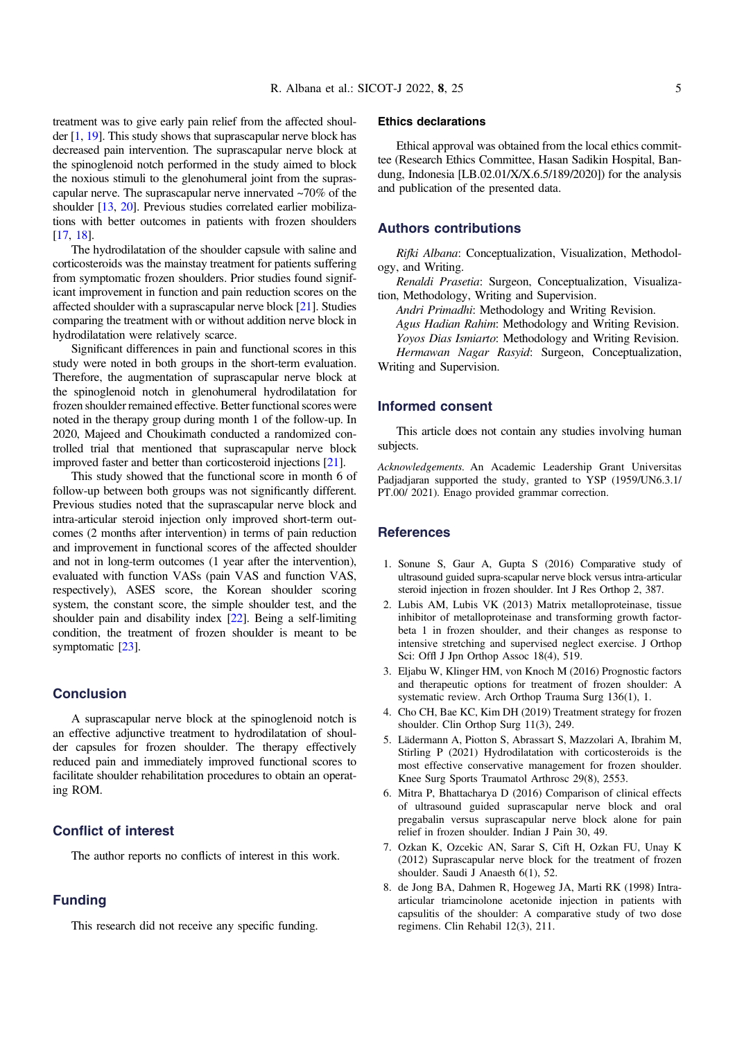<span id="page-4-0"></span>treatment was to give early pain relief from the affected shoulder [1, [19](#page-5-0)]. This study shows that suprascapular nerve block has decreased pain intervention. The suprascapular nerve block at the spinoglenoid notch performed in the study aimed to block the noxious stimuli to the glenohumeral joint from the suprascapular nerve. The suprascapular nerve innervated ~70% of the shoulder [\[13,](#page-5-0) [20](#page-5-0)]. Previous studies correlated earlier mobilizations with better outcomes in patients with frozen shoulders [[17](#page-5-0), [18\]](#page-5-0).

The hydrodilatation of the shoulder capsule with saline and corticosteroids was the mainstay treatment for patients suffering from symptomatic frozen shoulders. Prior studies found significant improvement in function and pain reduction scores on the affected shoulder with a suprascapular nerve block [\[21\]](#page-5-0). Studies comparing the treatment with or without addition nerve block in hydrodilatation were relatively scarce.

Significant differences in pain and functional scores in this study were noted in both groups in the short-term evaluation. Therefore, the augmentation of suprascapular nerve block at the spinoglenoid notch in glenohumeral hydrodilatation for frozen shoulder remained effective. Better functional scores were noted in the therapy group during month 1 of the follow-up. In 2020, Majeed and Choukimath conducted a randomized controlled trial that mentioned that suprascapular nerve block improved faster and better than corticosteroid injections [[21\]](#page-5-0).

This study showed that the functional score in month 6 of follow-up between both groups was not significantly different. Previous studies noted that the suprascapular nerve block and intra-articular steroid injection only improved short-term outcomes (2 months after intervention) in terms of pain reduction and improvement in functional scores of the affected shoulder and not in long-term outcomes (1 year after the intervention), evaluated with function VASs (pain VAS and function VAS, respectively), ASES score, the Korean shoulder scoring system, the constant score, the simple shoulder test, and the shoulder pain and disability index [\[22\]](#page-5-0). Being a self-limiting condition, the treatment of frozen shoulder is meant to be symptomatic [\[23](#page-5-0)].

## Conclusion

A suprascapular nerve block at the spinoglenoid notch is an effective adjunctive treatment to hydrodilatation of shoulder capsules for frozen shoulder. The therapy effectively reduced pain and immediately improved functional scores to facilitate shoulder rehabilitation procedures to obtain an operating ROM.

# Conflict of interest

The author reports no conflicts of interest in this work.

# Funding

This research did not receive any specific funding.

## Ethics declarations

Ethical approval was obtained from the local ethics committee (Research Ethics Committee, Hasan Sadikin Hospital, Bandung, Indonesia [LB.02.01/X/X.6.5/189/2020]) for the analysis and publication of the presented data.

#### Authors contributions

Rifki Albana: Conceptualization, Visualization, Methodology, and Writing.

Renaldi Prasetia: Surgeon, Conceptualization, Visualization, Methodology, Writing and Supervision.

Andri Primadhi: Methodology and Writing Revision.

Agus Hadian Rahim: Methodology and Writing Revision.

Yoyos Dias Ismiarto: Methodology and Writing Revision.

Hermawan Nagar Rasyid: Surgeon, Conceptualization, Writing and Supervision.

# Informed consent

This article does not contain any studies involving human subjects.

Acknowledgements. An Academic Leadership Grant Universitas Padjadjaran supported the study, granted to YSP (1959/UN6.3.1/ PT.00/ 2021). Enago provided grammar correction.

## **References**

- 1. Sonune S, Gaur A, Gupta S (2016) Comparative study of ultrasound guided supra-scapular nerve block versus intra-articular steroid injection in frozen shoulder. Int J Res Orthop 2, 387.
- 2. Lubis AM, Lubis VK (2013) Matrix metalloproteinase, tissue inhibitor of metalloproteinase and transforming growth factorbeta 1 in frozen shoulder, and their changes as response to intensive stretching and supervised neglect exercise. J Orthop Sci: Offl J Jpn Orthop Assoc 18(4), 519.
- 3. Eljabu W, Klinger HM, von Knoch M (2016) Prognostic factors and therapeutic options for treatment of frozen shoulder: A systematic review. Arch Orthop Trauma Surg 136(1), 1.
- 4. Cho CH, Bae KC, Kim DH (2019) Treatment strategy for frozen shoulder. Clin Orthop Surg 11(3), 249.
- 5. Lädermann A, Piotton S, Abrassart S, Mazzolari A, Ibrahim M, Stirling P (2021) Hydrodilatation with corticosteroids is the most effective conservative management for frozen shoulder. Knee Surg Sports Traumatol Arthrosc 29(8), 2553.
- 6. Mitra P, Bhattacharya D (2016) Comparison of clinical effects of ultrasound guided suprascapular nerve block and oral pregabalin versus suprascapular nerve block alone for pain relief in frozen shoulder. Indian J Pain 30, 49.
- 7. Ozkan K, Ozcekic AN, Sarar S, Cift H, Ozkan FU, Unay K (2012) Suprascapular nerve block for the treatment of frozen shoulder. Saudi J Anaesth 6(1), 52.
- 8. de Jong BA, Dahmen R, Hogeweg JA, Marti RK (1998) Intraarticular triamcinolone acetonide injection in patients with capsulitis of the shoulder: A comparative study of two dose regimens. Clin Rehabil 12(3), 211.